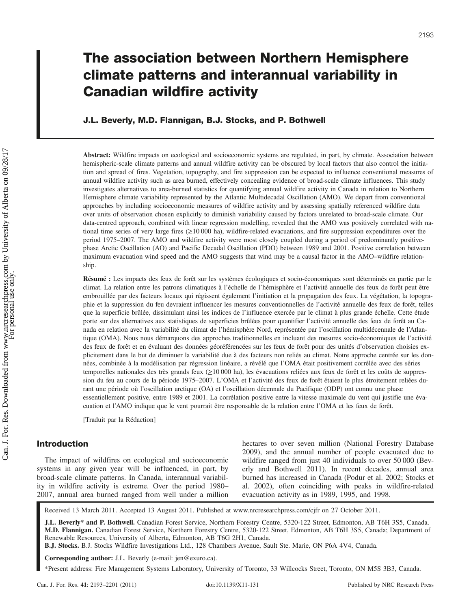J.L. Beverly, M.D. Flannigan, B.J. Stocks, and P. Bothwell

Abstract: Wildfire impacts on ecological and socioeconomic systems are regulated, in part, by climate. Association between hemispheric-scale climate patterns and annual wildfire activity can be obscured by local factors that also control the initiation and spread of fires. Vegetation, topography, and fire suppression can be expected to influence conventional measures of annual wildfire activity such as area burned, effectively concealing evidence of broad-scale climate influences. This study investigates alternatives to area-burned statistics for quantifying annual wildfire activity in Canada in relation to Northern Hemisphere climate variability represented by the Atlantic Multidecadal Oscillation (AMO). We depart from conventional approaches by including socioeconomic measures of wildfire activity and by assessing spatially referenced wildfire data over units of observation chosen explicitly to diminish variability caused by factors unrelated to broad-scale climate. Our data-centred approach, combined with linear regression modelling, revealed that the AMO was positively correlated with national time series of very large fires  $(\geq 10\,000$  ha), wildfire-related evacuations, and fire suppression expenditures over the period 1975–2007. The AMO and wildfire activity were most closely coupled during a period of predominantly positivephase Arctic Oscillation (AO) and Pacific Decadal Oscillation (PDO) between 1989 and 2001. Positive correlation between maximum evacuation wind speed and the AMO suggests that wind may be a causal factor in the AMO–wildfire relationship.

Résumé : Les impacts des feux de forêt sur les systèmes écologiques et socio-économiques sont déterminés en partie par le climat. La relation entre les patrons climatiques à l'échelle de l'hémisphère et l'activité annuelle des feux de forêt peut être embrouillée par des facteurs locaux qui régissent également l'initiation et la propagation des feux. La végétation, la topographie et la suppression du feu devraient influencer les mesures conventionnelles de l'activité annuelle des feux de forêt, telles que la superficie brûlée, dissimulant ainsi les indices de l'influence exercée par le climat à plus grande échelle. Cette étude porte sur des alternatives aux statistiques de superficies brûlées pour quantifier l'activité annuelle des feux de forêt au Canada en relation avec la variabilité du climat de l'hémisphère Nord, représentée par l'oscillation multidécennale de l'Atlantique (OMA). Nous nous démarquons des approches traditionnelles en incluant des mesures socio-économiques de l'activité des feux de forêt et en évaluant des données géoréférencées sur les feux de forêt pour des unités d'observation choisies explicitement dans le but de diminuer la variabilité due à des facteurs non reliés au climat. Notre approche centrée sur les données, combinée à la modélisation par régression linéaire, a révélé que l'OMA était positivement corrélée avec des séries temporelles nationales des très grands feux (≥10 000 ha), les évacuations reliées aux feux de forêt et les coûts de suppression du feu au cours de la période 1975–2007. L'OMA et l'activité des feux de forêt étaient le plus étroitement reliées durant une période où l'oscillation arctique (OA) et l'oscillation décennale du Pacifique (ODP) ont connu une phase essentiellement positive, entre 1989 et 2001. La corrélation positive entre la vitesse maximale du vent qui justifie une évacuation et l'AMO indique que le vent pourrait être responsable de la relation entre l'OMA et les feux de forêt.

[Traduit par la Rédaction]

# Introduction

The impact of wildfires on ecological and socioeconomic systems in any given year will be influenced, in part, by broad-scale climate patterns. In Canada, interannual variability in wildfire activity is extreme. Over the period 1980– 2007, annual area burned ranged from well under a million hectares to over seven million (National Forestry Database 2009), and the annual number of people evacuated due to wildfire ranged from just 40 individuals to over 50 000 (Beverly and Bothwell 2011). In recent decades, annual area burned has increased in Canada (Podur et al. 2002; Stocks et al. 2002), often coinciding with peaks in wildfire-related evacuation activity as in 1989, 1995, and 1998.

Received 13 March 2011. Accepted 13 August 2011. Published at www.nrcresearchpress.com/cjfr on 27 October 2011.

J.L. Beverly\* and P. Bothwell. Canadian Forest Service, Northern Forestry Centre, 5320-122 Street, Edmonton, AB T6H 3S5, Canada. M.D. Flannigan. Canadian Forest Service, Northern Forestry Centre, 5320-122 Street, Edmonton, AB T6H 3S5, Canada; Department of Renewable Resources, University of Alberta, Edmonton, AB T6G 2H1, Canada.

B.J. Stocks. B.J. Stocks Wildfire Investigations Ltd., 128 Chambers Avenue, Sault Ste. Marie, ON P6A 4V4, Canada.

Corresponding author: J.L. Beverly (e-mail: jen@exuro.ca).

\*Present address: Fire Management Systems Laboratory, University of Toronto, 33 Willcocks Street, Toronto, ON M5S 3B3, Canada.

2193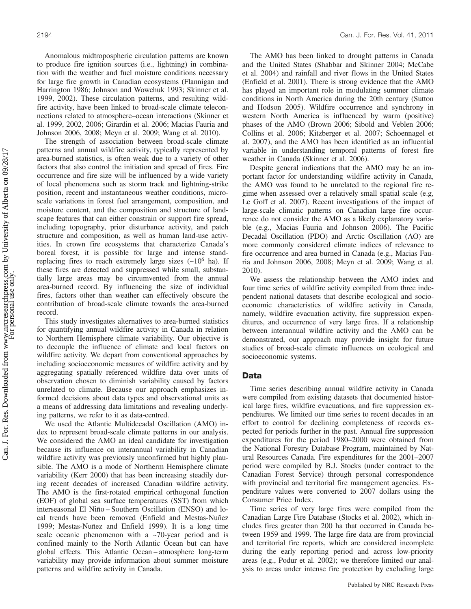Harrington 1986; Johnson and Wowchuk 1993; Skinner et al. 1999, 2002). These circulation patterns, and resulting wildfire activity, have been linked to broad-scale climate teleconnections related to atmosphere–ocean interactions (Skinner et al. 1999, 2002, 2006; Girardin et al. 2006; Macias Fauria and Johnson 2006, 2008; Meyn et al. 2009; Wang et al. 2010).

The strength of association between broad-scale climate patterns and annual wildfire activity, typically represented by area-burned statistics, is often weak due to a variety of other factors that also control the initiation and spread of fires. Fire occurrence and fire size will be influenced by a wide variety of local phenomena such as storm track and lightning-strike position, recent and instantaneous weather conditions, microscale variations in forest fuel arrangement, composition, and moisture content, and the composition and structure of landscape features that can either constrain or support fire spread, including topography, prior disturbance activity, and patch structure and composition, as well as human land-use activities. In crown fire ecosystems that characterize Canada's boreal forest, it is possible for large and intense standreplacing fires to reach extremely large sizes  $(\sim 10^6$  ha). If these fires are detected and suppressed while small, substantially large areas may be circumvented from the annual area-burned record. By influencing the size of individual fires, factors other than weather can effectively obscure the contribution of broad-scale climate towards the area-burned record.

This study investigates alternatives to area-burned statistics for quantifying annual wildfire activity in Canada in relation to Northern Hemisphere climate variability. Our objective is to decouple the influence of climate and local factors on wildfire activity. We depart from conventional approaches by including socioeconomic measures of wildfire activity and by aggregating spatially referenced wildfire data over units of observation chosen to diminish variability caused by factors unrelated to climate. Because our approach emphasizes informed decisions about data types and observational units as a means of addressing data limitations and revealing underlying patterns, we refer to it as data-centred.

We used the Atlantic Multidecadal Oscillation (AMO) index to represent broad-scale climate patterns in our analysis. We considered the AMO an ideal candidate for investigation because its influence on interannual variability in Canadian wildfire activity was previously unconfirmed but highly plausible. The AMO is a mode of Northerm Hemisphere climate variability (Kerr 2000) that has been increasing steadily during recent decades of increased Canadian wildfire activity. The AMO is the first-rotated empirical orthogonal function (EOF) of global sea surface temperatures (SST) from which interseasonal El Niño – Southern Oscillation (ENSO) and local trends have been removed (Enfield and Mestas-Nuñez 1999; Mestas-Nuñez and Enfield 1999). It is a long time scale oceanic phenomenon with a  $\sim$ 70-year period and is confined mainly to the North Atlantic Ocean but can have global effects. This Atlantic Ocean – atmosphere long-term variability may provide information about summer moisture patterns and wildfire activity in Canada.

The AMO has been linked to drought patterns in Canada and the United States (Shabbar and Skinner 2004; McCabe et al. 2004) and rainfall and river flows in the United States (Enfield et al. 2001). There is strong evidence that the AMO has played an important role in modulating summer climate conditions in North America during the 20th century (Sutton and Hodson 2005). Wildfire occurrence and synchrony in western North America is influenced by warm (positive) phases of the AMO (Brown 2006; Sibold and Veblen 2006; Collins et al. 2006; Kitzberger et al. 2007; Schoennagel et al. 2007), and the AMO has been identified as an influential variable in understanding temporal patterns of forest fire weather in Canada (Skinner et al. 2006).

Despite general indications that the AMO may be an important factor for understanding wildfire activity in Canada, the AMO was found to be unrelated to the regional fire regime when assessed over a relatively small spatial scale (e.g, Le Goff et al. 2007). Recent investigations of the impact of large-scale climatic patterns on Canadian large fire occurrence do not consider the AMO as a likely explanatory variable (e.g., Macias Fauria and Johnson 2006). The Pacific Decadal Oscillation (PDO) and Arctic Oscillation (AO) are more commonly considered climate indices of relevance to fire occurrence and area burned in Canada (e.g., Macias Fauria and Johnson 2006, 2008; Meyn et al. 2009; Wang et al. 2010).

We assess the relationship between the AMO index and four time series of wildfire activity compiled from three independent national datasets that describe ecological and socioeconomic characteristics of wildfire activity in Canada, namely, wildfire evacuation activity, fire suppression expenditures, and occurrence of very large fires. If a relationship between interannual wildfire activity and the AMO can be demonstrated, our approach may provide insight for future studies of broad-scale climate influences on ecological and socioeconomic systems.

### Data

Time series describing annual wildfire activity in Canada were compiled from existing datasets that documented historical large fires, wildfire evacuations, and fire suppression expenditures. We limited our time series to recent decades in an effort to control for declining completeness of records expected for periods further in the past. Annual fire suppression expenditures for the period 1980–2000 were obtained from the National Forestry Database Program, maintained by Natural Resources Canada. Fire expenditures for the 2001–2007 period were compiled by B.J. Stocks (under contract to the Canadian Forest Service) through personal correspondence with provincial and territorial fire management agencies. Expenditure values were converted to 2007 dollars using the Consumer Price Index.

Time series of very large fires were compiled from the Canadian Large Fire Database (Stocks et al. 2002), which includes fires greater than 200 ha that occurred in Canada between 1959 and 1999. The large fire data are from provincial and territorial fire reports, which are considered incomplete during the early reporting period and across low-priority areas (e.g., Podur et al. 2002); we therefore limited our analysis to areas under intense fire protection by excluding large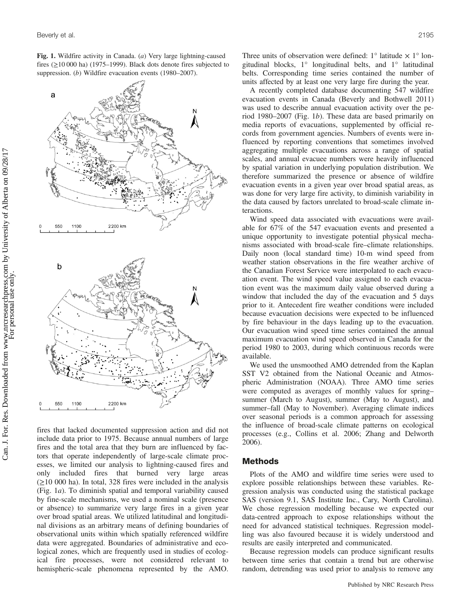Fig. 1. Wildfire activity in Canada. (a) Very large lightning-caused fires  $(\geq 10000$  ha) (1975–1999). Black dots denote fires subjected to suppression. (b) Wildfire evacuation events (1980–2007).



fires that lacked documented suppression action and did not include data prior to 1975. Because annual numbers of large fires and the total area that they burn are influenced by factors that operate independently of large-scale climate processes, we limited our analysis to lightning-caused fires and only included fires that burned very large areas  $(\geq 10\ 000\$ ha). In total, 328 fires were included in the analysis (Fig. 1a). To diminish spatial and temporal variability caused by fine-scale mechanisms, we used a nominal scale (presence or absence) to summarize very large fires in a given year over broad spatial areas. We utilized latitudinal and longitudinal divisions as an arbitrary means of defining boundaries of observational units within which spatially referenced wildfire data were aggregated. Boundaries of administrative and ecological zones, which are frequently used in studies of ecological fire processes, were not considered relevant to hemispheric-scale phenomena represented by the AMO.

Three units of observation were defined:  $1^{\circ}$  latitude  $\times 1^{\circ}$  longitudinal blocks, 1° longitudinal belts, and 1° latitudinal belts. Corresponding time series contained the number of units affected by at least one very large fire during the year.

A recently completed database documenting 547 wildfire evacuation events in Canada (Beverly and Bothwell 2011) was used to describe annual evacuation activity over the period 1980–2007 (Fig. 1b). These data are based primarily on media reports of evacuations, supplemented by official records from government agencies. Numbers of events were influenced by reporting conventions that sometimes involved aggregating multiple evacuations across a range of spatial scales, and annual evacuee numbers were heavily influenced by spatial variation in underlying population distribution. We therefore summarized the presence or absence of wildfire evacuation events in a given year over broad spatial areas, as was done for very large fire activity, to diminish variability in the data caused by factors unrelated to broad-scale climate interactions.

Wind speed data associated with evacuations were available for 67% of the 547 evacuation events and presented a unique opportunity to investigate potential physical mechanisms associated with broad-scale fire–climate relationships. Daily noon (local standard time) 10-m wind speed from weather station observations in the fire weather archive of the Canadian Forest Service were interpolated to each evacuation event. The wind speed value assigned to each evacuation event was the maximum daily value observed during a window that included the day of the evacuation and 5 days prior to it. Antecedent fire weather conditions were included because evacuation decisions were expected to be influenced by fire behaviour in the days leading up to the evacuation. Our evacuation wind speed time series contained the annual maximum evacuation wind speed observed in Canada for the period 1980 to 2003, during which continuous records were available.

We used the unsmoothed AMO detrended from the Kaplan SST V2 obtained from the National Oceanic and Atmospheric Administration (NOAA). Three AMO time series were computed as averages of monthly values for spring– summer (March to August), summer (May to August), and summer–fall (May to November). Averaging climate indices over seasonal periods is a common approach for assessing the influence of broad-scale climate patterns on ecological processes (e.g., Collins et al. 2006; Zhang and Delworth 2006).

### Methods

Plots of the AMO and wildfire time series were used to explore possible relationships between these variables. Regression analysis was conducted using the statistical package SAS (version 9.1, SAS Institute Inc., Cary, North Carolina). We chose regression modelling because we expected our data-centred approach to expose relationships without the need for advanced statistical techniques. Regression modelling was also favoured because it is widely understood and results are easily interpreted and communicated.

Because regression models can produce significant results between time series that contain a trend but are otherwise random, detrending was used prior to analysis to remove any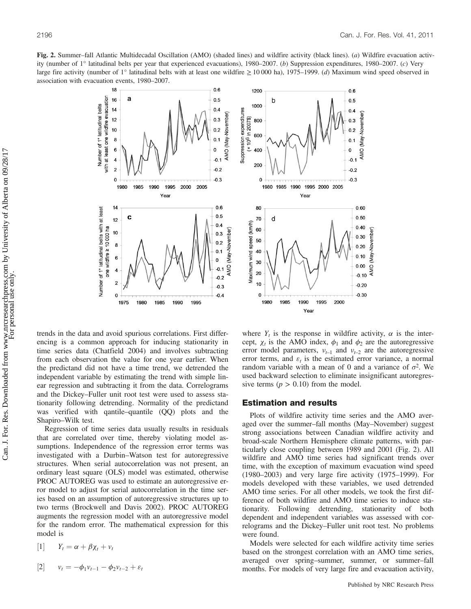Can. J. For. Res. Downloaded from www.nrcresearchpress.com by University of Alberta on 09/28/17 For personal use only.

Can. J. For. Res. Downloaded from www.nrcresearchpress.com by University of Alberta on 09/28/17

 $0.6$ 

Fig. 2. Summer–fall Atlantic Multidecadal Oscillation (AMO) (shaded lines) and wildfire activity (black lines). (a) Wildfire evacuation activity (number of 1° latitudinal belts per year that experienced evacuations), 1980–2007. (b) Suppression expenditures, 1980–2007. (c) Very large fire activity (number of 1° latitudinal belts with at least one wildfire  $\geq 10000$  ha), 1975–1999. (d) Maximum wind speed observed in association with evacuation events, 1980–2007.

trends in the data and avoid spurious correlations. First differencing is a common approach for inducing stationarity in time series data (Chatfield 2004) and involves subtracting from each observation the value for one year earlier. When the predictand did not have a time trend, we detrended the independent variable by estimating the trend with simple linear regression and subtracting it from the data. Correlograms and the Dickey–Fuller unit root test were used to assess stationarity following detrending. Normality of the predictand was verified with qantile–quantile (QQ) plots and the Shapiro–Wilk test.

Regression of time series data usually results in residuals that are correlated over time, thereby violating model assumptions. Independence of the regression error terms was investigated with a Durbin–Watson test for autoregressive structures. When serial autocorrelation was not present, an ordinary least square (OLS) model was estimated, otherwise PROC AUTOREG was used to estimate an autoregressive error model to adjust for serial autocorrelation in the time series based on an assumption of autoregressive structures up to two terms (Brockwell and Davis 2002). PROC AUTOREG augments the regression model with an autoregressive model for the random error. The mathematical expression for this model is

$$
[1] \qquad Y_t = \alpha + \beta \chi_t + v_t
$$

$$
[2] \qquad v_t = -\phi_1 v_{t-1} - \phi_2 v_{t-2} + \varepsilon_t
$$

where  $Y_t$  is the response in wildfire activity,  $\alpha$  is the intercept,  $\chi_t$  is the AMO index,  $\phi_1$  and  $\phi_2$  are the autoregressive error model parameters,  $v_{t-1}$  and  $v_{t-2}$  are the autoregressive error terms, and  $\varepsilon_t$  is the estimated error variance, a normal random variable with a mean of 0 and a variance of  $\sigma^2$ . We used backward selection to eliminate insignificant autoregressive terms ( $p > 0.10$ ) from the model.

#### Estimation and results

Plots of wildfire activity time series and the AMO averaged over the summer–fall months (May–November) suggest strong associations between Canadian wildfire activity and broad-scale Northern Hemisphere climate patterns, with particularly close coupling between 1989 and 2001 (Fig. 2). All wildfire and AMO time series had significant trends over time, with the exception of maximum evacuation wind speed (1980–2003) and very large fire activity (1975–1999). For models developed with these variables, we used detrended AMO time series. For all other models, we took the first difference of both wildfire and AMO time series to induce stationarity. Following detrending, stationarity of both dependent and independent variables was assessed with correlograms and the Dickey–Fuller unit root test. No problems were found.

Models were selected for each wildfire activity time series based on the strongest correlation with an AMO time series, averaged over spring–summer, summer, or summer–fall months. For models of very large fire and evacuation activity,



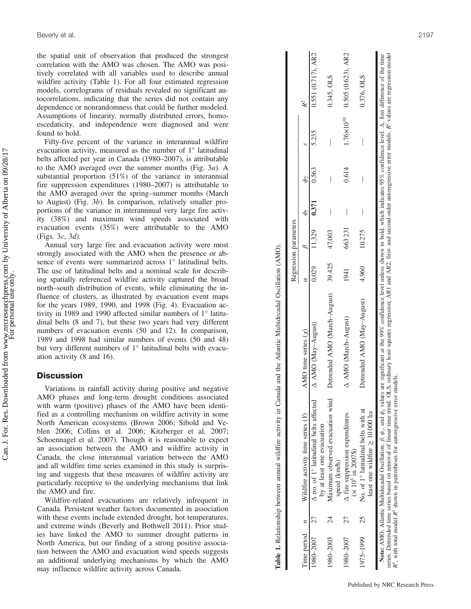the spatial unit of observation that produced the strongest correlation with the AMO was chosen. The AMO was positively correlated with all variables used to describe annual wildfire activity (Table 1). For all four estimated regression models, correlograms of residuals revealed no significant autocorrelations, indicating that the series did not contain any dependence or nonrandomness that could be further modeled. Assumptions of linearity, normally distributed errors, homoescedaticity, and independence were diagnosed and were found to hold.

Fifty-five percent of the variance in interannual wildfire evacuation activity, measured as the number of 1° latitudinal belts affected per year in Canada (1980–2007), is attributable to the AMO averaged over the summer months (Fig. 3a). A substantial proportion (51%) of the variance in interannual fire suppression expenditures (1980–2007) is attributable to the AMO averaged over the spring–summer months (March to August) (Fig. 3b). In comparison, relatively smaller proportions of the variance in interannnual very large fire activity (38%) and maximum wind speeds associated with evacuation events (35%) were attributable to the AMO (Figs. 3c, 3d).

Annual very large fire and evacuation activity were most strongly associated with the AMO when the presence or absence of events were summarized across 1° latitudinal belts. The use of latitudinal belts and a nominal scale for describing spatially referenced wildfire activity captured the broad north–south distribution of events, while eliminating the influence of clusters, as illustrated by evacuation event maps for the years 1989, 1990, and 1998 (Fig. 4). Evacuation activity in 1989 and 1990 affected similar numbers of 1° latitudinal belts (8 and 7), but these two years had very different numbers of evacuation events (50 and 12). In comparison, 1989 and 1998 had similar numbers of events (50 and 48) but very different numbers of 1° latitudinal belts with evacuation activity (8 and 16).

## **Discussion**

Variations in rainfall activity during positive and negative AMO phases and long-term drought conditions associated with warm (positive) phases of the AMO have been identified as a controlling mechanism on wildfire activity in some North American ecosystems (Brown 2006; Sibold and Veblen 2006; Collins et al. 2006; Kitzberger et al. 2007; Schoennagel et al. 2007). Though it is reasonable to expect an association between the AMO and wildfire activity in Canada, the close interannual variation between the AMO and all wildfire time series examined in this study is surprising and suggests that these measures of wildfire activity are particularly receptive to the underlying mechanisms that link the AMO and fire.

Wildfire-related evacuations are relatively infrequent in Canada. Persistent weather factors documented in association with these events include extended drought, hot temperatures, and extreme winds (Beverly and Bothwell 2011). Prior studies have linked the AMO to summer drought patterns in North America, but our finding of a strong positive association between the AMO and evacuation wind speeds suggests an additional underlying mechanisms by which the AMO may influence wildfire activity across Canada.

|                                                        | $\frac{1}{2}$ |
|--------------------------------------------------------|---------------|
| min Canada and the Atlantic Madical Co-201-21-22 (AAC) |               |
|                                                        |               |
| mildfina oo<br>J                                       |               |
|                                                        |               |
|                                                        |               |

|           |    |                                                                                                 |                                                                                                                                         |       | Regression parameters |   |       |       |                                          |
|-----------|----|-------------------------------------------------------------------------------------------------|-----------------------------------------------------------------------------------------------------------------------------------------|-------|-----------------------|---|-------|-------|------------------------------------------|
|           |    | Time period $n$ Wildfire activity time series $(Y)$                                             | AMO time series $(\chi)$                                                                                                                |       |                       |   |       |       |                                          |
| 1980-2007 |    | $\Delta$ no. of 1° latitudinal belts affected<br>by at least one evacuation                     | AMO (May-August)                                                                                                                        | 0.029 | $11.329$ 0.371        |   | 0.563 | 5.235 | 0.551 (0.717), AR2                       |
| 1980-2003 |    | Maximum observed evacuation wind<br>speed (km/h)                                                | Detrended AMO (March-August) 39.425                                                                                                     |       | 47.003                |   |       |       | 0.345, OLS                               |
| 1980-2007 | 27 | $\Delta$ fire suppression expenditures<br>$(x 10^3 \text{ in } 2007\text{$ })                   | AMO (March-August)                                                                                                                      | 1941  | 663231                | I | 0.614 |       | $1.76 \times 10^{10}$ 0.505 (0.623), AR2 |
| 1975–1999 |    | No. of 1° latitudinal belts with at<br>least one wildfire $\geq 10000$ ha                       | Detrended AMO (May-August)                                                                                                              | 4.960 | 10.275                | I |       |       | 0.376, OLS                               |
|           |    | <b>Note:</b> AMO. Atlantic Multidecadal Oscillation: $\beta$ , $\phi_1$ , and $\phi_2$ , values | are significant at the 99% confidence level unless shown in bold, which indicates 95% confidence level. A, first difference of the time |       |                       |   |       |       |                                          |

**Note:** ANO, Auante Muntecadat Oscination;  $p$ ,  $\varphi$ <sub>1</sub>, and  $\varphi$ <sub>2</sub> vates are sigmineant at the 99% confuence fevel inless snown in poid, which muteats 90% confuence fevel. 2, mst difference of the time<br>series. Detrend  $R<sup>2</sup>$  values are regression-model  $\Delta$ , first difference of the time Note: AMO, Atlantic Multidecadal Oscillation;  $\beta$ ,  $\phi_1$ , and  $\phi_2$  values are significant at the 99% confidence level unless shown in bold, which indicates 95% confidence level. series. Detrended time series based on removal of linear time trend. OLS, ordinary least squares regression; AR1 and AR2, first- and second-order autoregressive error models.  $R<sup>2</sup>$  shown in parentheses for autoregressive error models.  $R<sup>2</sup>$ , with total model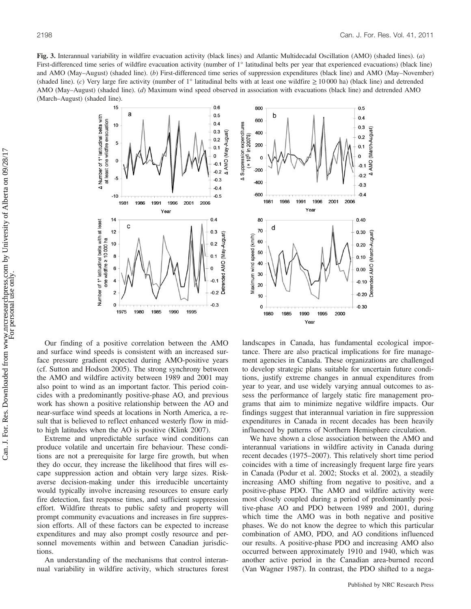Fig. 3. Interannual variability in wildfire evacuation activity (black lines) and Atlantic Multidecadal Oscillation (AMO) (shaded lines). (a) First-differenced time series of wildfire evacuation activity (number of 1° latitudinal belts per year that experienced evacuations) (black line) and AMO (May–August) (shaded line). (b) First-differenced time series of suppression expenditures (black line) and AMO (May–November) (shaded line). (c) Very large fire activity (number of 1° latitudinal belts with at least one wildfire  $\geq 10000$  ha) (black line) and detrended AMO (May–August) (shaded line). (d) Maximum wind speed observed in association with evacuations (black line) and detrended AMO (March–August) (shaded line).



Our finding of a positive correlation between the AMO and surface wind speeds is consistent with an increased surface pressure gradient expected during AMO-positive years (cf. Sutton and Hodson 2005). The strong synchrony between the AMO and wildfire activity between 1989 and 2001 may also point to wind as an important factor. This period coincides with a predominantly positive-phase AO, and previous work has shown a positive relationship between the AO and near-surface wind speeds at locations in North America, a result that is believed to reflect enhanced westerly flow in midto high latitudes when the AO is positive (Klink 2007).

Extreme and unpredictable surface wind conditions can produce volatile and uncertain fire behaviour. These conditions are not a prerequisite for large fire growth, but when they do occur, they increase the likelihood that fires will escape suppression action and obtain very large sizes. Riskaverse decision-making under this irreducible uncertainty would typically involve increasing resources to ensure early fire detection, fast response times, and sufficient suppression effort. Wildfire threats to public safety and property will prompt community evacuations and increases in fire suppression efforts. All of these factors can be expected to increase expenditures and may also prompt costly resource and personnel movements within and between Canadian jurisdictions.

An understanding of the mechanisms that control interannual variability in wildfire activity, which structures forest landscapes in Canada, has fundamental ecological importance. There are also practical implications for fire management agencies in Canada. These organizations are challenged to develop strategic plans suitable for uncertain future conditions, justify extreme changes in annual expenditures from year to year, and use widely varying annual outcomes to assess the performance of largely static fire management programs that aim to minimize negative wildfire impacts. Our findings suggest that interannual variation in fire suppression expenditures in Canada in recent decades has been heavily influenced by patterns of Northern Hemisphere circulation.

Year

We have shown a close association between the AMO and interannual variations in wildfire activity in Canada during recent decades (1975–2007). This relatively short time period coincides with a time of increasingly frequent large fire years in Canada (Podur et al. 2002; Stocks et al. 2002), a steadily increasing AMO shifting from negative to positive, and a positive-phase PDO. The AMO and wildfire activity were most closely coupled during a period of predominantly positive-phase AO and PDO between 1989 and 2001, during which time the AMO was in both negative and positive phases. We do not know the degree to which this particular combination of AMO, PDO, and AO conditions influenced our results. A positive-phase PDO and increasing AMO also occurred between approximately 1910 and 1940, which was another active period in the Canadian area-burned record (Van Wagner 1987). In contrast, the PDO shifted to a nega-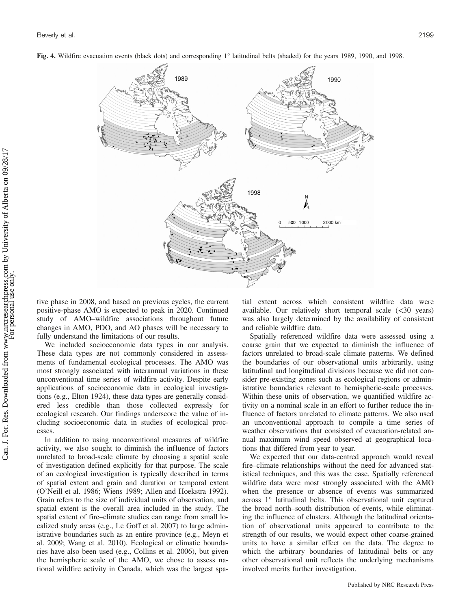

Fig. 4. Wildfire evacuation events (black dots) and corresponding 1° latitudinal belts (shaded) for the years 1989, 1990, and 1998.

tive phase in 2008, and based on previous cycles, the current positive-phase AMO is expected to peak in 2020. Continued study of AMO–wildfire associations throughout future changes in AMO, PDO, and AO phases will be necessary to fully understand the limitations of our results.

We included socioeconomic data types in our analysis. These data types are not commonly considered in assessments of fundamental ecological processes. The AMO was most strongly associated with interannual variations in these unconventional time series of wildfire activity. Despite early applications of socioeconomic data in ecological investigations (e.g., Elton 1924), these data types are generally considered less credible than those collected expressly for ecological research. Our findings underscore the value of including socioeconomic data in studies of ecological processes.

In addition to using unconventional measures of wildfire activity, we also sought to diminish the influence of factors unrelated to broad-scale climate by choosing a spatial scale of investigation defined explicitly for that purpose. The scale of an ecological investigation is typically described in terms of spatial extent and grain and duration or temporal extent (O'Neill et al. 1986; Wiens 1989; Allen and Hoekstra 1992). Grain refers to the size of individual units of observation, and spatial extent is the overall area included in the study. The spatial extent of fire–climate studies can range from small localized study areas (e.g., Le Goff et al. 2007) to large administrative boundaries such as an entire province (e.g., Meyn et al. 2009; Wang et al. 2010). Ecological or climatic boundaries have also been used (e.g., Collins et al. 2006), but given the hemispheric scale of the AMO, we chose to assess national wildfire activity in Canada, which was the largest spatial extent across which consistent wildfire data were available. Our relatively short temporal scale  $(\leq 30 \text{ years})$ was also largely determined by the availability of consistent and reliable wildfire data.

Spatially referenced wildfire data were assessed using a coarse grain that we expected to diminish the influence of factors unrelated to broad-scale climate patterns. We defined the boundaries of our observational units arbitrarily, using latitudinal and longitudinal divisions because we did not consider pre-existing zones such as ecological regions or administrative boundaries relevant to hemispheric-scale processes. Within these units of observation, we quantified wildfire activity on a nominal scale in an effort to further reduce the influence of factors unrelated to climate patterns. We also used an unconventional approach to compile a time series of weather observations that consisted of evacuation-related annual maximum wind speed observed at geographical locations that differed from year to year.

We expected that our data-centred approach would reveal fire–climate relationships without the need for advanced statistical techniques, and this was the case. Spatially referenced wildfire data were most strongly associated with the AMO when the presence or absence of events was summarized across 1° latitudinal belts. This observational unit captured the broad north–south distribution of events, while eliminating the influence of clusters. Although the latitudinal orientation of observational units appeared to contribute to the strength of our results, we would expect other coarse-grained units to have a similar effect on the data. The degree to which the arbitrary boundaries of latitudinal belts or any other observational unit reflects the underlying mechanisms involved merits further investigation.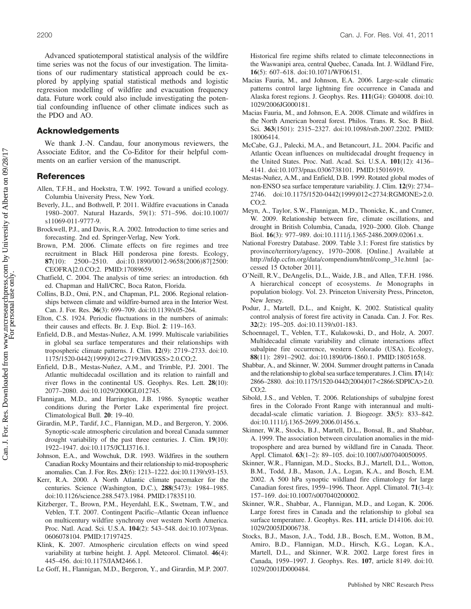Advanced spatiotemporal statistical analysis of the wildfire time series was not the focus of our investigation. The limitations of our rudimentary statistical approach could be explored by applying spatial statistical methods and logistic regression modelling of wildfire and evacuation frequency data. Future work could also include investigating the potential confounding influence of other climate indices such as the PDO and AO.

### Acknowledgements

We thank J.-N. Candau, four anonymous reviewers, the Associate Editor, and the Co-Editor for their helpful comments on an earlier version of the manuscript.

### References

- Allen, T.F.H., and Hoekstra, T.W. 1992. Toward a unified ecology. Columbia University Press, New York.
- Beverly, J.L., and Bothwell, P. 2011. Wildfire evacuations in Canada 1980–2007. Natural Hazards, 59(1): 571–596. doi:10.1007/ s11069-011-9777-9.
- Brockwell, P.J., and Davis, R.A. 2002. Introduction to time series and forecasting. 2nd ed. Springer-Verlag, New York.
- Brown, P.M. 2006. Climate effects on fire regimes and tree recruitment in Black Hill ponderosa pine forests. Ecology, 87(10): 2500–2510. doi:10.1890/0012-9658(2006)87[2500: CEOFRA]2.0.CO;2. PMID:17089659.
- Chatfield, C. 2004. The analysis of time series: an introduction. 6th ed. Chapman and Hall/CRC, Boca Raton, Florida.
- Collins, B.D., Omi, P.N., and Chapman, P.L. 2006. Regional relationships between climate and wildfire-burned area in the Interior West. Can. J. For. Res. 36(3): 699–709. doi:10.1139/x05-264.
- Elton, C.S. 1924. Periodic fluctuations in the numbers of animals: their causes and effects. Br. J. Exp. Biol. 2: 119–163.
- Enfield, D.B., and Mestas-Nuñez, A.M. 1999. Multiscale variabilities in global sea surface temperatures and their relationships with tropospheric climate patterns. J. Clim. 12(9): 2719–2733. doi:10. 1175/1520-0442(1999)012<2719:MVIGSS>2.0.CO;2.
- Enfield, D.B., Mestas-Nuñez, A.M., and Trimble, P.J. 2001. The Atlantic multidecadal oscillation and its relation to rainfall and river flows in the continental US. Geophys. Res. Lett. 28(10): 2077–2080. doi:10.1029/2000GL012745.
- Flannigan, M.D., and Harrington, J.B. 1986. Synoptic weather conditions during the Porter Lake experimental fire project. Climatological Bull. 20: 19–40.
- Girardin, M.P., Tardif, J.C., Flannigan, M.D., and Bergeron, Y. 2006. Synoptic-scale atmospheric circulation and boreal Canada summer drought variability of the past three centuries. J. Clim. 19(10): 1922–1947. doi:10.1175/JCLI3716.1.
- Johnson, E.A., and Wowchuk, D.R. 1993. Wildfires in the southern Canadian Rocky Mountains and their relationship to mid-tropospheric anomalies. Can. J. For. Res. 23(6): 1213–1222. doi:10.1139/x93-153.
- Kerr, R.A. 2000. A North Atlantic climate pacemaker for the centuries. Science (Washington, D.C.), 288(5473): 1984–1985. doi:10.1126/science.288.5473.1984. PMID:17835110.
- Kitzberger, T., Brown, P.M., Heyerdahl, E.K., Swetnam, T.W., and Veblen, T.T. 2007. Contingent Pacific–Atlantic Ocean influence on multicentury wildfire synchrony over western North America. Proc. Natl. Acad. Sci. U.S.A. 104(2): 543–548. doi:10.1073/pnas. 0606078104. PMID:17197425.
- Klink, K. 2007. Atmospheric circulation effects on wind speed variability at turbine height. J. Appl. Meteorol. Climatol. 46(4): 445–456. doi:10.1175/JAM2466.1.
- Le Goff, H., Flannigan, M.D., Bergeron, Y., and Girardin, M.P. 2007.

Historical fire regime shifts related to climate teleconnections in the Waswanipi area, central Quebec, Canada. Int. J. Wildland Fire, 16(5): 607–618. doi:10.1071/WF06151.

- Macias Fauria, M., and Johnson, E.A. 2006. Large-scale climatic patterns control large lightning fire occurrence in Canada and Alaska forest regions. J. Geophys. Res. 111(G4): G04008. doi:10. 1029/2006JG000181.
- Macias Fauria, M., and Johnson, E.A. 2008. Climate and wildfires in the North American boreal forest. Philos. Trans. R. Soc. B Biol. Sci. 363(1501): 2315–2327. doi:10.1098/rstb.2007.2202. PMID: 18006414.
- McCabe, G.J., Palecki, M.A., and Betancourt, J.L. 2004. Pacific and Atlantic Ocean influences on multidecadal drought frequency in the United States. Proc. Natl. Acad. Sci. U.S.A. 101(12): 4136– 4141. doi:10.1073/pnas.0306738101. PMID:15016919.
- Mestas-Nuñez, A.M., and Enfield, D.B. 1999. Rotated global modes of non-ENSO sea surface temperature variability. J. Clim. 12(9): 2734– 2746. doi:10.1175/1520-0442(1999)012<2734:RGMONE>2.0. CO;2.
- Meyn, A., Taylor, S.W., Flannigan, M.D., Thonicke, K., and Cramer, W. 2009. Relationship between fire, climate oscillations, and drought in British Columbia, Canada, 1920–2000. Glob. Change Biol. 16(3): 977–989. doi:10.1111/j.1365-2486.2009.02061.x.
- National Forestry Database. 2009. Table 3.1: Forest fire statistics by province/territory/agency, 1970–2008. [Online.] Available at http://nfdp.ccfm.org/data/compendium/html/comp\_31e.html [accessed 15 October 2011].
- O'Neill, R.V., DeAngelis, D.L., Waide, J.B., and Allen, T.F.H. 1986. A hierarchical concept of ecosystems. In Monographs in population biology. Vol. 23. Princeton University Press, Princeton, New Jersey.
- Podur, J., Martell, D.L., and Knight, K. 2002. Statistical quality control analysis of forest fire activity in Canada. Can. J. For. Res. 32(2): 195–205. doi:10.1139/x01-183.
- Schoennagel, T., Veblen, T.T., Kulakowski, D., and Holz, A. 2007. Multidecadal climate variability and climate interactions affect subalpine fire occurrence, western Colorado (USA). Ecology, 88(11): 2891–2902. doi:10.1890/06-1860.1. PMID:18051658.
- Shabbar, A., and Skinner, W. 2004. Summer drought patterns in Canada and the relationship to global sea surface temperatures. J. Clim. 17(14): 2866–2880. doi:10.1175/1520-0442(2004)017<2866:SDPICA>2.0. CO;2.
- Sibold, J.S., and Veblen, T. 2006. Relationships of subalpjne forest fires in the Colorado Front Range with interannual and multidecadal-scale climatic variation. J. Biogeogr. 33(5): 833–842. doi:10.1111/j.1365-2699.2006.01456.x.
- Skinner, W.R., Stocks, B.J., Martell, D.L., Bonsal, B., and Shabbar, A. 1999. The association between circulation anomalies in the midtroposphere and area burned by wildland fire in Canada. Theor. Appl. Climatol. 63(1–2): 89–105. doi:10.1007/s007040050095.
- Skinner, W.R., Flannigan, M.D., Stocks, B.J., Martell, D.L., Wotton, B.M., Todd, J.B., Mason, J.A., Logan, K.A., and Bosch, E.M. 2002. A 500 hPa synoptic wildland fire climatology for large Canadian forest fires, 1959–1996. Theor. Appl. Climatol. 71(3-4): 157–169. doi:10.1007/s007040200002.
- Skinner, W.R., Shabbar, A., Flannigan, M.D., and Logan, K. 2006. Large forest fires in Canada and the relationship to global sea surface temperature. J. Geophys. Res. 111, article D14106. doi:10. 1029/2005JD006738.
- Stocks, B.J., Mason, J.A., Todd, J.B., Bosch, E.M., Wotton, B.M., Amiro, B.D., Flannigan, M.D., Hirsch, K.G., Logan, K.A., Martell, D.L., and Skinner, W.R. 2002. Large forest fires in Canada, 1959–1997. J. Geophys. Res. 107, article 8149. doi:10. 1029/2001JD000484.